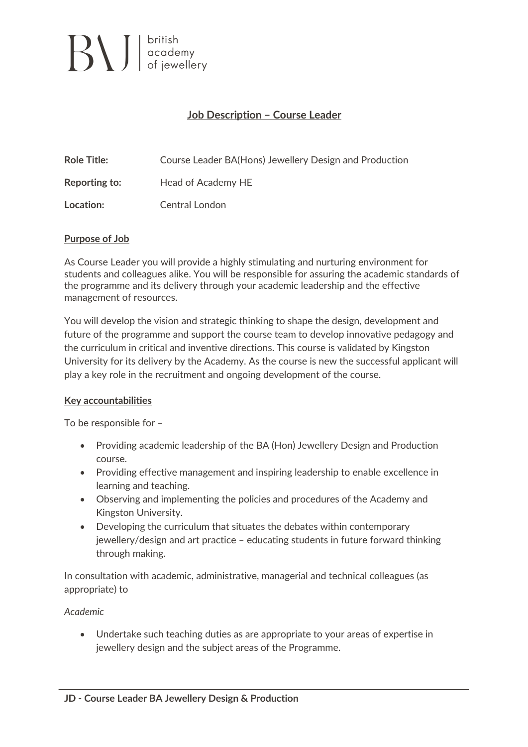

# **Job Description – Course Leader**

| <b>Role Title:</b> | Course Leader BA(Hons) Jewellery Design and Production |
|--------------------|--------------------------------------------------------|
| Reporting to:      | Head of Academy HE                                     |
| Location:          | Central London                                         |

#### **Purpose of Job**

As Course Leader you will provide a highly stimulating and nurturing environment for students and colleagues alike. You will be responsible for assuring the academic standards of the programme and its delivery through your academic leadership and the effective management of resources.

You will develop the vision and strategic thinking to shape the design, development and future of the programme and support the course team to develop innovative pedagogy and the curriculum in critical and inventive directions. This course is validated by Kingston University for its delivery by the Academy. As the course is new the successful applicant will play a key role in the recruitment and ongoing development of the course.

#### **Key accountabilities**

To be responsible for –

- Providing academic leadership of the BA (Hon) Jewellery Design and Production course.
- Providing effective management and inspiring leadership to enable excellence in learning and teaching.
- Observing and implementing the policies and procedures of the Academy and Kingston University.
- Developing the curriculum that situates the debates within contemporary jewellery/design and art practice – educating students in future forward thinking through making.

In consultation with academic, administrative, managerial and technical colleagues (as appropriate) to

#### *Academic*

• Undertake such teaching duties as are appropriate to your areas of expertise in jewellery design and the subject areas of the Programme.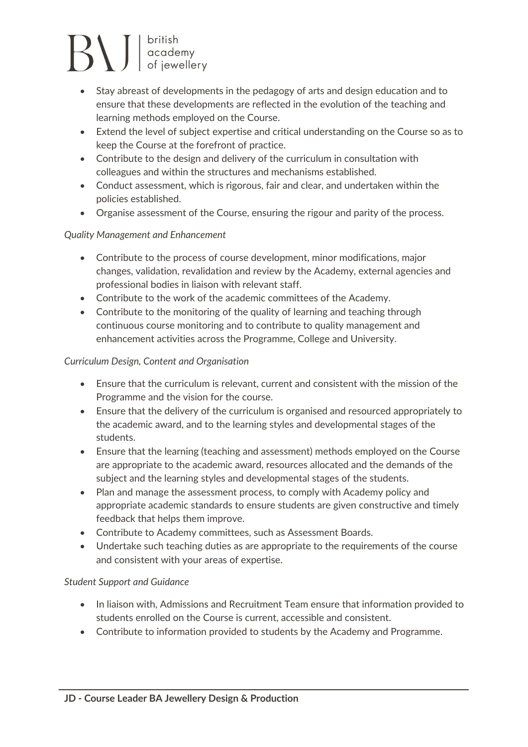# $\left\{\right\}$   $\left\{\right\}$   $\left\{\right.$  stritish academy<br>of jewellery

- Stay abreast of developments in the pedagogy of arts and design education and to ensure that these developments are reflected in the evolution of the teaching and learning methods employed on the Course.
- Extend the level of subject expertise and critical understanding on the Course so as to keep the Course at the forefront of practice.
- Contribute to the design and delivery of the curriculum in consultation with colleagues and within the structures and mechanisms established.
- Conduct assessment, which is rigorous, fair and clear, and undertaken within the policies established.
- Organise assessment of the Course, ensuring the rigour and parity of the process.

## *Quality Management and Enhancement*

- Contribute to the process of course development, minor modifications, major changes, validation, revalidation and review by the Academy, external agencies and professional bodies in liaison with relevant staff.
- Contribute to the work of the academic committees of the Academy.
- Contribute to the monitoring of the quality of learning and teaching through continuous course monitoring and to contribute to quality management and enhancement activities across the Programme, College and University.

## *Curriculum Design, Content and Organisation*

- Ensure that the curriculum is relevant, current and consistent with the mission of the Programme and the vision for the course.
- Ensure that the delivery of the curriculum is organised and resourced appropriately to the academic award, and to the learning styles and developmental stages of the students.
- Ensure that the learning (teaching and assessment) methods employed on the Course are appropriate to the academic award, resources allocated and the demands of the subject and the learning styles and developmental stages of the students.
- Plan and manage the assessment process, to comply with Academy policy and appropriate academic standards to ensure students are given constructive and timely feedback that helps them improve.
- Contribute to Academy committees, such as Assessment Boards.
- Undertake such teaching duties as are appropriate to the requirements of the course and consistent with your areas of expertise.

## *Student Support and Guidance*

- In liaison with, Admissions and Recruitment Team ensure that information provided to students enrolled on the Course is current, accessible and consistent.
- Contribute to information provided to students by the Academy and Programme.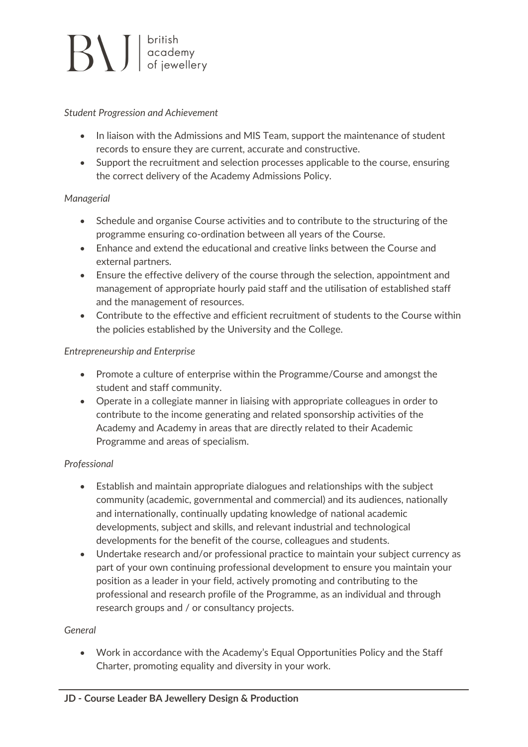# $\left| \bigcup_{\text{of } j} \bigcup_{\text{in } \mathcal{M}} \bigg| \right|_{\text{of } j}$

#### *Student Progression and Achievement*

- In liaison with the Admissions and MIS Team, support the maintenance of student records to ensure they are current, accurate and constructive.
- Support the recruitment and selection processes applicable to the course, ensuring the correct delivery of the Academy Admissions Policy.

### *Managerial*

- Schedule and organise Course activities and to contribute to the structuring of the programme ensuring co-ordination between all years of the Course.
- Enhance and extend the educational and creative links between the Course and external partners.
- Ensure the effective delivery of the course through the selection, appointment and management of appropriate hourly paid staff and the utilisation of established staff and the management of resources.
- Contribute to the effective and efficient recruitment of students to the Course within the policies established by the University and the College.

## *Entrepreneurship and Enterprise*

- Promote a culture of enterprise within the Programme/Course and amongst the student and staff community.
- Operate in a collegiate manner in liaising with appropriate colleagues in order to contribute to the income generating and related sponsorship activities of the Academy and Academy in areas that are directly related to their Academic Programme and areas of specialism.

## *Professional*

- Establish and maintain appropriate dialogues and relationships with the subject community (academic, governmental and commercial) and its audiences, nationally and internationally, continually updating knowledge of national academic developments, subject and skills, and relevant industrial and technological developments for the benefit of the course, colleagues and students.
- Undertake research and/or professional practice to maintain your subject currency as part of your own continuing professional development to ensure you maintain your position as a leader in your field, actively promoting and contributing to the professional and research profile of the Programme, as an individual and through research groups and / or consultancy projects.

### *General*

• Work in accordance with the Academy's Equal Opportunities Policy and the Staff Charter, promoting equality and diversity in your work.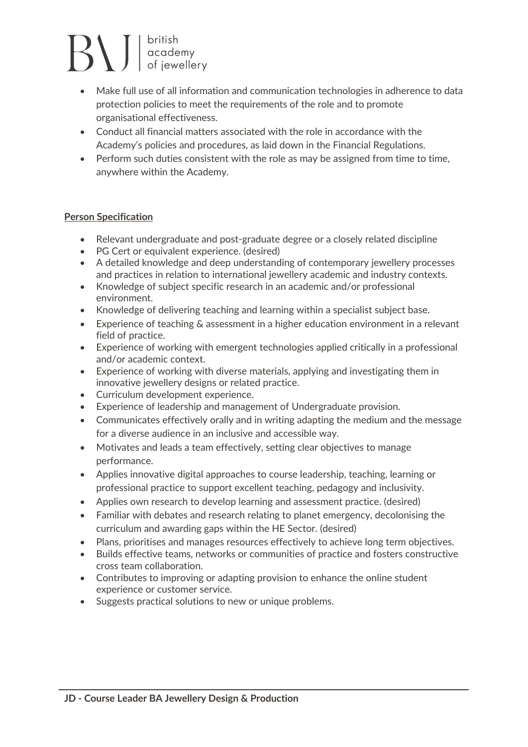# $\sum_{\text{of}~\text{j}}$

- Make full use of all information and communication technologies in adherence to data protection policies to meet the requirements of the role and to promote organisational effectiveness.
- Conduct all financial matters associated with the role in accordance with the Academy's policies and procedures, as laid down in the Financial Regulations.
- Perform such duties consistent with the role as may be assigned from time to time, anywhere within the Academy.

## **Person Specification**

- Relevant undergraduate and post-graduate degree or a closely related discipline
- PG Cert or equivalent experience. (desired)
- A detailed knowledge and deep understanding of contemporary jewellery processes and practices in relation to international jewellery academic and industry contexts.
- Knowledge of subject specific research in an academic and/or professional environment.
- Knowledge of delivering teaching and learning within a specialist subject base.
- Experience of teaching & assessment in a higher education environment in a relevant field of practice.
- Experience of working with emergent technologies applied critically in a professional and/or academic context.
- Experience of working with diverse materials, applying and investigating them in innovative jewellery designs or related practice.
- Curriculum development experience.
- Experience of leadership and management of Undergraduate provision.
- Communicates effectively orally and in writing adapting the medium and the message for a diverse audience in an inclusive and accessible way.
- Motivates and leads a team effectively, setting clear objectives to manage performance.
- Applies innovative digital approaches to course leadership, teaching, learning or professional practice to support excellent teaching, pedagogy and inclusivity.
- Applies own research to develop learning and assessment practice. (desired)
- Familiar with debates and research relating to planet emergency, decolonising the curriculum and awarding gaps within the HE Sector. (desired)
- Plans, prioritises and manages resources effectively to achieve long term objectives.
- Builds effective teams, networks or communities of practice and fosters constructive cross team collaboration.
- Contributes to improving or adapting provision to enhance the online student experience or customer service.
- Suggests practical solutions to new or unique problems.